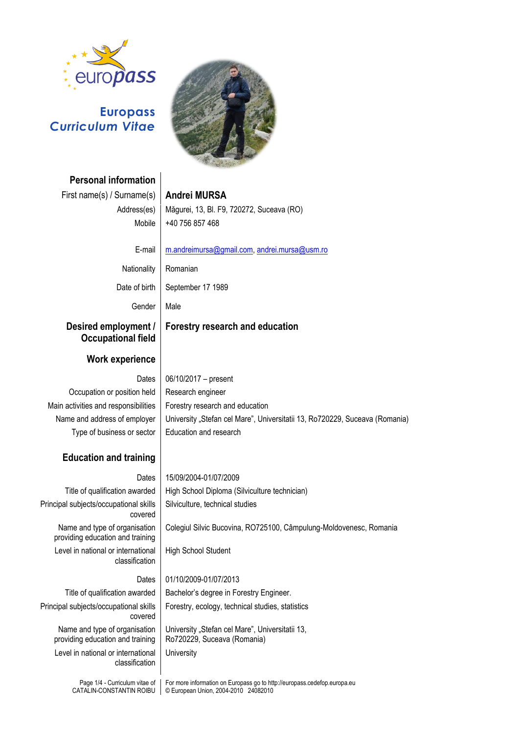

# **Europass** *Curriculum Vitae*

**Personal information**



First name(s) / Surname(s) **Andrei MURSA** Address(es) Măgurei, 13, Bl. F9, 720272, Suceava (RO) Mobile +40 756 857 468 E-mail [m.andreimursa@gmail.com,](mailto:m.andreimursa@gmail.com) [andrei.mursa@usm.ro](mailto:andrei.mursa@usm.ro) Nationality | Romanian Date of birth | September 17 1989 Gender | Male **Desired employment / Occupational field Forestry research and education**

# **Work experience**

Occupation or position held | Research engineer Main activities and responsibilities  $\vert$  Forestry research and education Type of business or sector  $\vert$  Education and research

# Dates  $\vert 06/10/2017 - \text{present}$ Name and address of employer | University "Stefan cel Mare", Universitatii 13, Ro720229, Suceava (Romania)

Colegiul Silvic Bucovina, RO725100, Câmpulung-Moldovenesc, Romania

## **Education and training**

Dates 15/09/2004-01/07/2009

Title of qualification awarded | High School Diploma (Silviculture technician) Principal subjects/occupational skills covered

Name and type of organisation providing education and training Level in national or international classification

High School Student

# Principal subjects/occupational skills covered

Name and type of organisation providing education and training

Level in national or international classification

# Dates 01/10/2009-01/07/2013

Silviculture, technical studies

Title of qualification awarded | Bachelor's degree in Forestry Engineer. Forestry, ecology, technical studies, statistics

> University "Stefan cel Mare", Universitatii 13, Ro720229, Suceava (Romania) **University**

Page 1/4 - Curriculum vitae of CATALIN-CONSTANTIN ROIBU For more information on Europass go to http://europass.cedefop.europa.eu © European Union, 2004-2010 24082010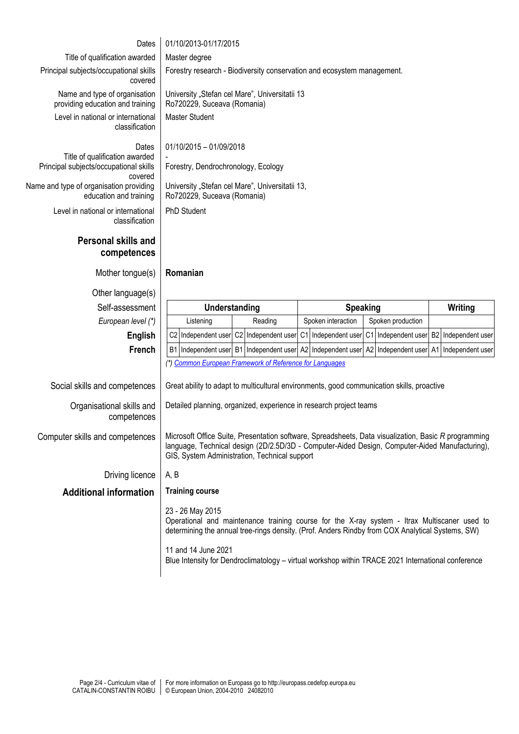| Dates                                                                    | 01/10/2013-01/17/2015                                                                                                                                                                                                |                                                                                 |                               |
|--------------------------------------------------------------------------|----------------------------------------------------------------------------------------------------------------------------------------------------------------------------------------------------------------------|---------------------------------------------------------------------------------|-------------------------------|
| Title of qualification awarded                                           | Master degree                                                                                                                                                                                                        |                                                                                 |                               |
| Principal subjects/occupational skills                                   | Forestry research - Biodiversity conservation and ecosystem management.                                                                                                                                              |                                                                                 |                               |
| covered                                                                  |                                                                                                                                                                                                                      |                                                                                 |                               |
| Name and type of organisation                                            | University "Stefan cel Mare", Universitatii 13                                                                                                                                                                       |                                                                                 |                               |
| providing education and training                                         | Ro720229, Suceava (Romania)                                                                                                                                                                                          |                                                                                 |                               |
| Level in national or international<br>classification                     | <b>Master Student</b>                                                                                                                                                                                                |                                                                                 |                               |
|                                                                          |                                                                                                                                                                                                                      |                                                                                 |                               |
| Dates                                                                    | 01/10/2015 - 01/09/2018                                                                                                                                                                                              |                                                                                 |                               |
| Title of qualification awarded<br>Principal subjects/occupational skills | Forestry, Dendrochronology, Ecology                                                                                                                                                                                  |                                                                                 |                               |
| covered                                                                  |                                                                                                                                                                                                                      |                                                                                 |                               |
| Name and type of organisation providing<br>education and training        | University "Stefan cel Mare", Universitatii 13,<br>Ro720229, Suceava (Romania)                                                                                                                                       |                                                                                 |                               |
| Level in national or international                                       | PhD Student                                                                                                                                                                                                          |                                                                                 |                               |
| classification                                                           |                                                                                                                                                                                                                      |                                                                                 |                               |
| <b>Personal skills and</b>                                               |                                                                                                                                                                                                                      |                                                                                 |                               |
| competences                                                              |                                                                                                                                                                                                                      |                                                                                 |                               |
|                                                                          |                                                                                                                                                                                                                      |                                                                                 |                               |
| Mother tongue(s)                                                         | Romanian                                                                                                                                                                                                             |                                                                                 |                               |
| Other language(s)                                                        |                                                                                                                                                                                                                      |                                                                                 |                               |
|                                                                          | <b>Speaking</b><br>Writing<br>Understanding                                                                                                                                                                          |                                                                                 |                               |
| Self-assessment                                                          |                                                                                                                                                                                                                      |                                                                                 |                               |
| European level (*)                                                       | Reading<br>Listening                                                                                                                                                                                                 | Spoken interaction<br>Spoken production                                         |                               |
| English                                                                  | C2 Independent user C2 Independent user C1 Independent user                                                                                                                                                          | C1 Independent user                                                             | <b>B2</b><br>Independent user |
| French                                                                   |                                                                                                                                                                                                                      | B1 Independent user B1 Independent user A2 Independent user A2 Independent user | A1 Independent user           |
|                                                                          | (*) Common European Framework of Reference for Languages                                                                                                                                                             |                                                                                 |                               |
|                                                                          |                                                                                                                                                                                                                      |                                                                                 |                               |
| Social skills and competences                                            | Great ability to adapt to multicultural environments, good communication skills, proactive                                                                                                                           |                                                                                 |                               |
| Organisational skills and                                                | Detailed planning, organized, experience in research project teams                                                                                                                                                   |                                                                                 |                               |
| competences                                                              |                                                                                                                                                                                                                      |                                                                                 |                               |
| Computer skills and competences                                          | Microsoft Office Suite, Presentation software, Spreadsheets, Data visualization, Basic R programming                                                                                                                 |                                                                                 |                               |
|                                                                          | language, Technical design (2D/2.5D/3D - Computer-Aided Design, Computer-Aided Manufacturing),                                                                                                                       |                                                                                 |                               |
|                                                                          | GIS, System Administration, Technical support                                                                                                                                                                        |                                                                                 |                               |
| Driving licence                                                          | A, B                                                                                                                                                                                                                 |                                                                                 |                               |
| <b>Additional information</b>                                            | <b>Training course</b>                                                                                                                                                                                               |                                                                                 |                               |
|                                                                          |                                                                                                                                                                                                                      |                                                                                 |                               |
|                                                                          | 23 - 26 May 2015<br>Operational and maintenance training course for the X-ray system - Itrax Multiscaner used to<br>determining the annual tree-rings density. (Prof. Anders Rindby from COX Analytical Systems, SW) |                                                                                 |                               |
|                                                                          |                                                                                                                                                                                                                      |                                                                                 |                               |
|                                                                          | 11 and 14 June 2021<br>Blue Intensity for Dendroclimatology - virtual workshop within TRACE 2021 International conference                                                                                            |                                                                                 |                               |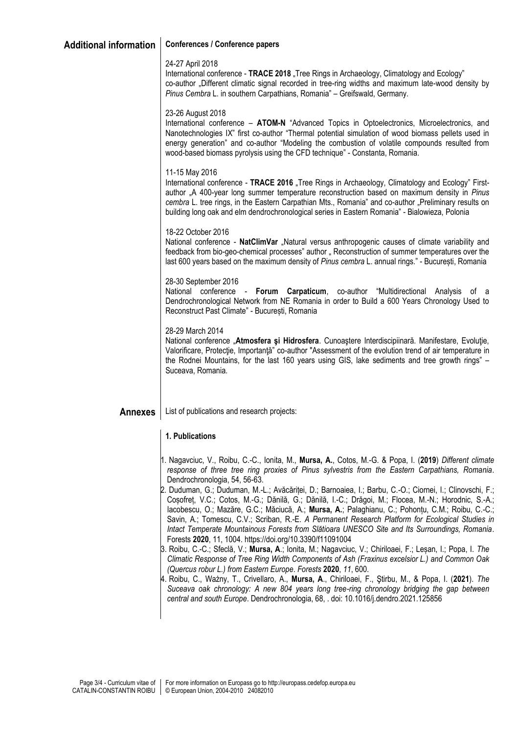## **Additional information Conferences / Conference papers**

#### 24-27 April 2018

International conference - **TRACE 2018** Tree Rings in Archaeology, Climatology and Ecology" co-author .Different climatic signal recorded in tree-ring widths and maximum late-wood density by *Pinus Cembra* L. in southern Carpathians, Romania" – Greifswald, Germany.

#### 23-26 August 2018

International conference – **ATOM-N** "Advanced Topics in Optoelectronics, Microelectronics, and Nanotechnologies IX" first co-author "Thermal potential simulation of wood biomass pellets used in energy generation" and co-author "Modeling the combustion of volatile compounds resulted from wood-based biomass pyrolysis using the CFD technique" - Constanta, Romania.

#### 11-15 May 2016

International conference - **TRACE 2016** "Tree Rings in Archaeology, Climatology and Ecology" Firstauthor "A 400-year long summer temperature reconstruction based on maximum density in *Pinus cembra* L. tree rings, in the Eastern Carpathian Mts., Romania" and co-author "Preliminary results on building long oak and elm dendrochronological series in Eastern Romania" - Bialowieza, Polonia

#### 18-22 October 2016

National conference - NatClimVar "Natural versus anthropogenic causes of climate variability and feedback from bio-geo-chemical processes" author " Reconstruction of summer temperatures over the last 600 years based on the maximum density of *Pinus cembra* L. annual rings." - București, Romania

#### 28-30 September 2016

National conference - **Forum Carpaticum**, co-author "Multidirectional Analysis of a Dendrochronological Network from NE Romania in order to Build a 600 Years Chronology Used to Reconstruct Past Climate" - București, Romania

#### 28-29 March 2014

National conference "**Atmosfera şi Hidrosfera**. Cunoaştere Interdiscipiinară. Manifestare, Evoluţie, Valorificare, Protectie, Importantă" co-author "Assessment of the evolution trend of air temperature in the Rodnei Mountains, for the last 160 years using GIS, lake sediments and tree growth rings" – Suceava, Romania.

### **Annexes** List of publications and research projects:

### **1. Publications**

- 1. Nagavciuc, V., Roibu, C.-C., Ionita, M., **Mursa, A.**, Cotos, M.-G. & Popa, I. (**2019**) *Different climate response of three tree ring proxies of Pinus sylvestris from the Eastern Carpathians, Romania*. Dendrochronologia, 54, 56-63.
- 2. Duduman, G.; Duduman, M.-L.; Avăcăriței, D.; Barnoaiea, I.; Barbu, C.-O.; Ciornei, I.; Clinovschi, F.; Coșofreț, V.C.; Cotos, M.-G.; Dănilă, G.; Dănilă, I.-C.; Drăgoi, M.; Flocea, M.-N.; Horodnic, S.-A.; Iacobescu, O.; Mazăre, G.C.; Măciucă, A.; **Mursa, A.**; Palaghianu, C.; Pohonțu, C.M.; Roibu, C.-C.; Savin, A.; Tomescu, C.V.; Scriban, R.-E. *A Permanent Research Platform for Ecological Studies in Intact Temperate Mountainous Forests from Slătioara UNESCO Site and Its Surroundings, Romania*. Forests **2020**, 11, 1004. https://doi.org/10.3390/f11091004
- 3. Roibu, C.-C.; Sfeclă, V.; **Mursa, A**.; Ionita, M.; Nagavciuc, V.; Chiriloaei, F.; Leșan, I.; Popa, I. *The Climatic Response of Tree Ring Width Components of Ash (Fraxinus excelsior L.) and Common Oak (Quercus robur L.) from Eastern Europe*. *Forests* **2020**, *11*, 600.
- 4. Roibu, C., Ważny, T., Crivellaro, A., **Mursa, A**., Chiriloaei, F., Ştirbu, M., & Popa, I. (**2021**). *The Suceava oak chronology: A new 804 years long tree-ring chronology bridging the gap between central and south Europe*. Dendrochronologia, 68, . doi: 10.1016/j.dendro.2021.125856